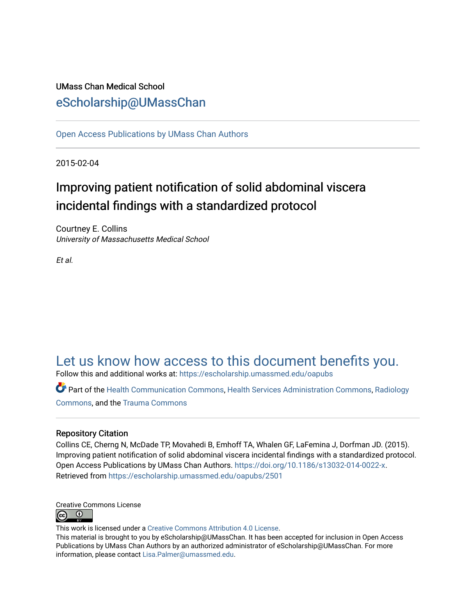# UMass Chan Medical School [eScholarship@UMassChan](https://escholarship.umassmed.edu/)

[Open Access Publications by UMass Chan Authors](https://escholarship.umassmed.edu/oapubs) 

2015-02-04

# Improving patient notification of solid abdominal viscera incidental findings with a standardized protocol

Courtney E. Collins University of Massachusetts Medical School

Et al.

# [Let us know how access to this document benefits you.](https://arcsapps.umassmed.edu/redcap/surveys/?s=XWRHNF9EJE)

Follow this and additional works at: [https://escholarship.umassmed.edu/oapubs](https://escholarship.umassmed.edu/oapubs?utm_source=escholarship.umassmed.edu%2Foapubs%2F2501&utm_medium=PDF&utm_campaign=PDFCoverPages) 

Part of the [Health Communication Commons](http://network.bepress.com/hgg/discipline/330?utm_source=escholarship.umassmed.edu%2Foapubs%2F2501&utm_medium=PDF&utm_campaign=PDFCoverPages), [Health Services Administration Commons](http://network.bepress.com/hgg/discipline/747?utm_source=escholarship.umassmed.edu%2Foapubs%2F2501&utm_medium=PDF&utm_campaign=PDFCoverPages), [Radiology](http://network.bepress.com/hgg/discipline/705?utm_source=escholarship.umassmed.edu%2Foapubs%2F2501&utm_medium=PDF&utm_campaign=PDFCoverPages) [Commons](http://network.bepress.com/hgg/discipline/705?utm_source=escholarship.umassmed.edu%2Foapubs%2F2501&utm_medium=PDF&utm_campaign=PDFCoverPages), and the [Trauma Commons](http://network.bepress.com/hgg/discipline/1240?utm_source=escholarship.umassmed.edu%2Foapubs%2F2501&utm_medium=PDF&utm_campaign=PDFCoverPages) 

## Repository Citation

Collins CE, Cherng N, McDade TP, Movahedi B, Emhoff TA, Whalen GF, LaFemina J, Dorfman JD. (2015). Improving patient notification of solid abdominal viscera incidental findings with a standardized protocol. Open Access Publications by UMass Chan Authors. [https://doi.org/10.1186/s13032-014-0022-x.](https://doi.org/10.1186/s13032-014-0022-x) Retrieved from [https://escholarship.umassmed.edu/oapubs/2501](https://escholarship.umassmed.edu/oapubs/2501?utm_source=escholarship.umassmed.edu%2Foapubs%2F2501&utm_medium=PDF&utm_campaign=PDFCoverPages) 

Creative Commons License  $\circ$  $(c<sub>c</sub>)$ 

This work is licensed under a [Creative Commons Attribution 4.0 License](http://creativecommons.org/licenses/by/4.0/).

This material is brought to you by eScholarship@UMassChan. It has been accepted for inclusion in Open Access Publications by UMass Chan Authors by an authorized administrator of eScholarship@UMassChan. For more information, please contact [Lisa.Palmer@umassmed.edu.](mailto:Lisa.Palmer@umassmed.edu)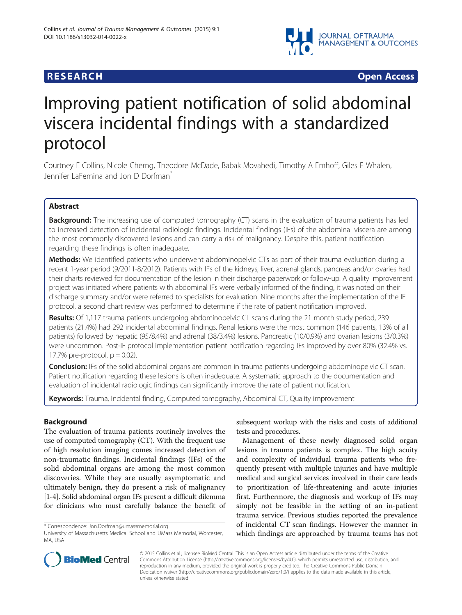# **RESEARCH RESEARCH** *CHECKER CHECKER CHECKER CHECKER CHECKER CHECKER CHECKER CHECKER CHECKER CHECKER CHECKER*



# Improving patient notification of solid abdominal viscera incidental findings with a standardized protocol

Courtney E Collins, Nicole Cherng, Theodore McDade, Babak Movahedi, Timothy A Emhoff, Giles F Whalen, Jennifer LaFemina and Jon D Dorfman<sup>\*</sup>

## Abstract

**Background:** The increasing use of computed tomography (CT) scans in the evaluation of trauma patients has led to increased detection of incidental radiologic findings. Incidental findings (IFs) of the abdominal viscera are among the most commonly discovered lesions and can carry a risk of malignancy. Despite this, patient notification regarding these findings is often inadequate.

Methods: We identified patients who underwent abdominopelvic CTs as part of their trauma evaluation during a recent 1-year period (9/2011-8/2012). Patients with IFs of the kidneys, liver, adrenal glands, pancreas and/or ovaries had their charts reviewed for documentation of the lesion in their discharge paperwork or follow-up. A quality improvement project was initiated where patients with abdominal IFs were verbally informed of the finding, it was noted on their discharge summary and/or were referred to specialists for evaluation. Nine months after the implementation of the IF protocol, a second chart review was performed to determine if the rate of patient notification improved.

Results: Of 1,117 trauma patients undergoing abdominopelvic CT scans during the 21 month study period, 239 patients (21.4%) had 292 incidental abdominal findings. Renal lesions were the most common (146 patients, 13% of all patients) followed by hepatic (95/8.4%) and adrenal (38/3.4%) lesions. Pancreatic (10/0.9%) and ovarian lesions (3/0.3%) were uncommon. Post-IF protocol implementation patient notification regarding IFs improved by over 80% (32.4% vs. 17.7% pre-protocol,  $p = 0.02$ ).

Conclusion: IFs of the solid abdominal organs are common in trauma patients undergoing abdominopelvic CT scan. Patient notification regarding these lesions is often inadequate. A systematic approach to the documentation and evaluation of incidental radiologic findings can significantly improve the rate of patient notification.

Keywords: Trauma, Incidental finding, Computed tomography, Abdominal CT, Quality improvement

## Background

The evaluation of trauma patients routinely involves the use of computed tomography (CT). With the frequent use of high resolution imaging comes increased detection of non-traumatic findings. Incidental findings (IFs) of the solid abdominal organs are among the most common discoveries. While they are usually asymptomatic and ultimately benign, they do present a risk of malignancy [[1](#page-6-0)-[4\]](#page-6-0). Solid abdominal organ IFs present a difficult dilemma for clinicians who must carefully balance the benefit of subsequent workup with the risks and costs of additional tests and procedures.

Management of these newly diagnosed solid organ lesions in trauma patients is complex. The high acuity and complexity of individual trauma patients who frequently present with multiple injuries and have multiple medical and surgical services involved in their care leads to prioritization of life-threatening and acute injuries first. Furthermore, the diagnosis and workup of IFs may simply not be feasible in the setting of an in-patient trauma service. Previous studies reported the prevalence of incidental CT scan findings. However the manner in which findings are approached by trauma teams has not



© 2015 Collins et al.; licensee BioMed Central. This is an Open Access article distributed under the terms of the Creative Commons Attribution License [\(http://creativecommons.org/licenses/by/4.0\)](http://creativecommons.org/licenses/by/4.0), which permits unrestricted use, distribution, and reproduction in any medium, provided the original work is properly credited. The Creative Commons Public Domain Dedication waiver [\(http://creativecommons.org/publicdomain/zero/1.0/](http://creativecommons.org/publicdomain/zero/1.0/)) applies to the data made available in this article, unless otherwise stated.

<sup>\*</sup> Correspondence: [Jon.Dorfman@umassmemorial.org](mailto:Jon.Dorfman@umassmemorial.org)

University of Massachusetts Medical School and UMass Memorial, Worcester, MA, USA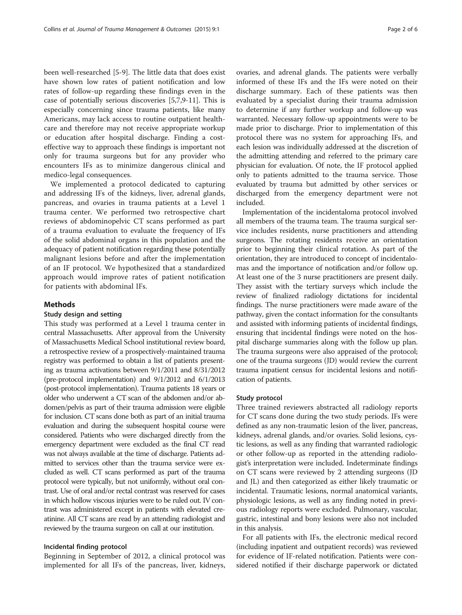been well-researched [[5-9](#page-6-0)]. The little data that does exist have shown low rates of patient notification and low rates of follow-up regarding these findings even in the case of potentially serious discoveries [[5](#page-6-0),[7](#page-6-0),[9-11\]](#page-6-0). This is especially concerning since trauma patients, like many Americans, may lack access to routine outpatient healthcare and therefore may not receive appropriate workup or education after hospital discharge. Finding a costeffective way to approach these findings is important not only for trauma surgeons but for any provider who encounters IFs as to minimize dangerous clinical and medico-legal consequences.

We implemented a protocol dedicated to capturing and addressing IFs of the kidneys, liver, adrenal glands, pancreas, and ovaries in trauma patients at a Level 1 trauma center. We performed two retrospective chart reviews of abdominopelvic CT scans performed as part of a trauma evaluation to evaluate the frequency of IFs of the solid abdominal organs in this population and the adequacy of patient notification regarding these potentially malignant lesions before and after the implementation of an IF protocol. We hypothesized that a standardized approach would improve rates of patient notification for patients with abdominal IFs.

#### Methods

#### Study design and setting

This study was performed at a Level 1 trauma center in central Massachusetts. After approval from the University of Massachusetts Medical School institutional review board, a retrospective review of a prospectively-maintained trauma registry was performed to obtain a list of patients presenting as trauma activations between 9/1/2011 and 8/31/2012 (pre-protocol implementation) and 9/1/2012 and 6/1/2013 (post-protocol implementation). Trauma patients 18 years or older who underwent a CT scan of the abdomen and/or abdomen/pelvis as part of their trauma admission were eligible for inclusion. CT scans done both as part of an initial trauma evaluation and during the subsequent hospital course were considered. Patients who were discharged directly from the emergency department were excluded as the final CT read was not always available at the time of discharge. Patients admitted to services other than the trauma service were excluded as well. CT scans performed as part of the trauma protocol were typically, but not uniformly, without oral contrast. Use of oral and/or rectal contrast was reserved for cases in which hollow viscous injuries were to be ruled out. IV contrast was administered except in patients with elevated creatinine. All CT scans are read by an attending radiologist and reviewed by the trauma surgeon on call at our institution.

#### Incidental finding protocol

Beginning in September of 2012, a clinical protocol was implemented for all IFs of the pancreas, liver, kidneys,

ovaries, and adrenal glands. The patients were verbally informed of these IFs and the IFs were noted on their discharge summary. Each of these patients was then evaluated by a specialist during their trauma admission to determine if any further workup and follow-up was warranted. Necessary follow-up appointments were to be made prior to discharge. Prior to implementation of this protocol there was no system for approaching IFs, and each lesion was individually addressed at the discretion of the admitting attending and referred to the primary care physician for evaluation. Of note, the IF protocol applied only to patients admitted to the trauma service. Those evaluated by trauma but admitted by other services or discharged from the emergency department were not included.

Implementation of the incidentaloma protocol involved all members of the trauma team. The trauma surgical service includes residents, nurse practitioners and attending surgeons. The rotating residents receive an orientation prior to beginning their clinical rotation. As part of the orientation, they are introduced to concept of incidentalomas and the importance of notification and/or follow up. At least one of the 3 nurse practitioners are present daily. They assist with the tertiary surveys which include the review of finalized radiology dictations for incidental findings. The nurse practitioners were made aware of the pathway, given the contact information for the consultants and assisted with informing patients of incidental findings, ensuring that incidental findings were noted on the hospital discharge summaries along with the follow up plan. The trauma surgeons were also appraised of the protocol; one of the trauma surgeons (JD) would review the current trauma inpatient census for incidental lesions and notification of patients.

#### Study protocol

Three trained reviewers abstracted all radiology reports for CT scans done during the two study periods. IFs were defined as any non-traumatic lesion of the liver, pancreas, kidneys, adrenal glands, and/or ovaries. Solid lesions, cystic lesions, as well as any finding that warranted radiologic or other follow-up as reported in the attending radiologist's interpretation were included. Indeterminate findings on CT scans were reviewed by 2 attending surgeons (JD and JL) and then categorized as either likely traumatic or incidental. Traumatic lesions, normal anatomical variants, physiologic lesions, as well as any finding noted in previous radiology reports were excluded. Pulmonary, vascular, gastric, intestinal and bony lesions were also not included in this analysis.

For all patients with IFs, the electronic medical record (including inpatient and outpatient records) was reviewed for evidence of IF-related notification. Patients were considered notified if their discharge paperwork or dictated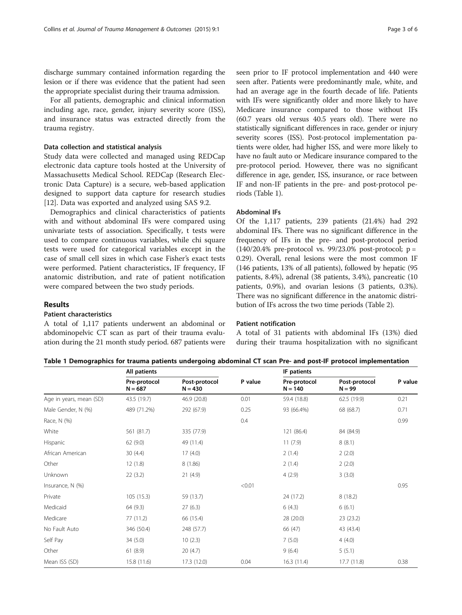discharge summary contained information regarding the lesion or if there was evidence that the patient had seen the appropriate specialist during their trauma admission.

For all patients, demographic and clinical information including age, race, gender, injury severity score (ISS), and insurance status was extracted directly from the trauma registry.

#### Data collection and statistical analysis

Study data were collected and managed using REDCap electronic data capture tools hosted at the University of Massachusetts Medical School. REDCap (Research Electronic Data Capture) is a secure, web-based application designed to support data capture for research studies [[12\]](#page-6-0). Data was exported and analyzed using SAS 9.2.

Demographics and clinical characteristics of patients with and without abdominal IFs were compared using univariate tests of association. Specifically, t tests were used to compare continuous variables, while chi square tests were used for categorical variables except in the case of small cell sizes in which case Fisher's exact tests were performed. Patient characteristics, IF frequency, IF anatomic distribution, and rate of patient notification were compared between the two study periods.

## Results

## Patient characteristics

A total of 1,117 patients underwent an abdominal or abdominopelvic CT scan as part of their trauma evaluation during the 21 month study period. 687 patients were seen prior to IF protocol implementation and 440 were seen after. Patients were predominantly male, white, and had an average age in the fourth decade of life. Patients with IFs were significantly older and more likely to have Medicare insurance compared to those without IFs (60.7 years old versus 40.5 years old). There were no statistically significant differences in race, gender or injury severity scores (ISS). Post-protocol implementation patients were older, had higher ISS, and were more likely to have no fault auto or Medicare insurance compared to the pre-protocol period. However, there was no significant difference in age, gender, ISS, insurance, or race between IF and non-IF patients in the pre- and post-protocol periods (Table 1).

#### Abdominal IFs

Of the 1,117 patients, 239 patients (21.4%) had 292 abdominal IFs. There was no significant difference in the frequency of IFs in the pre- and post-protocol period  $(140/20.4\%$  pre-protocol vs. 99/23.0% post-protocol; p = 0.29). Overall, renal lesions were the most common IF (146 patients, 13% of all patients), followed by hepatic (95 patients, 8.4%), adrenal (38 patients, 3.4%), pancreatic (10 patients, 0.9%), and ovarian lesions (3 patients, 0.3%). There was no significant difference in the anatomic distribution of IFs across the two time periods (Table [2](#page-4-0)).

#### Patient notification

A total of 31 patients with abdominal IFs (13%) died during their trauma hospitalization with no significant

#### Table 1 Demographics for trauma patients undergoing abdominal CT scan Pre- and post-IF protocol implementation

|                         | All patients              |                            |         | IF patients               |                           |         |
|-------------------------|---------------------------|----------------------------|---------|---------------------------|---------------------------|---------|
|                         | Pre-protocol<br>$N = 687$ | Post-protocol<br>$N = 430$ | P value | Pre-protocol<br>$N = 140$ | Post-protocol<br>$N = 99$ | P value |
| Age in years, mean (SD) | 43.5 (19.7)               | 46.9 (20.8)                | 0.01    | 59.4 (18.8)               | 62.5 (19.9)               | 0.21    |
| Male Gender, N (%)      | 489 (71.2%)               | 292 (67.9)                 | 0.25    | 93 (66.4%)                | 68 (68.7)                 | 0.71    |
| Race, N (%)             |                           |                            | 0.4     |                           |                           | 0.99    |
| White                   | 561 (81.7)                | 335 (77.9)                 |         | 121 (86.4)                | 84 (84.9)                 |         |
| Hispanic                | 62(9.0)                   | 49 (11.4)                  |         | 11(7.9)                   | 8(8.1)                    |         |
| African American        | 30(4.4)                   | 17(4.0)                    |         | 2(1.4)                    | 2(2.0)                    |         |
| Other                   | 12(1.8)                   | 8(1.86)                    |         | 2(1.4)                    | 2(2.0)                    |         |
| Unknown                 | 22(3.2)                   | 21(4.9)                    |         | 4(2.9)                    | 3(3.0)                    |         |
| Insurance, N (%)        |                           |                            | < 0.01  |                           |                           | 0.95    |
| Private                 | 105(15.3)                 | 59 (13.7)                  |         | 24 (17.2)                 | 8(18.2)                   |         |
| Medicaid                | 64(9.3)                   | 27(6.3)                    |         | 6(4.3)                    | 6(6.1)                    |         |
| Medicare                | 77 (11.2)                 | 66 (15.4)                  |         | 28 (20.0)                 | 23(23.2)                  |         |
| No Fault Auto           | 346 (50.4)                | 248 (57.7)                 |         | 66 (47)                   | 43 (43.4)                 |         |
| Self Pay                | 34(5.0)                   | 10(2.3)                    |         | 7(5.0)                    | 4(4.0)                    |         |
| Other                   | 61(8.9)                   | 20(4.7)                    |         | 9(6.4)                    | 5(5.1)                    |         |
| Mean ISS (SD)           | 15.8 (11.6)               | 17.3 (12.0)                | 0.04    | 16.3(11.4)                | 17.7(11.8)                | 0.38    |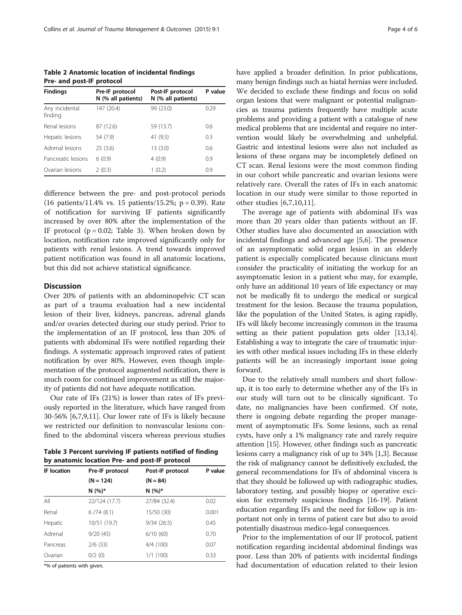<span id="page-4-0"></span>Table 2 Anatomic location of incidental findings Pre- and post-IF protocol

| <b>Findings</b>           | Pre-IF protocol<br>N (% all patients) | Post-IF protocol<br>N (% all patients) | P value |
|---------------------------|---------------------------------------|----------------------------------------|---------|
| Any incidental<br>finding | 147 (20.4)                            | 99 (23.0)                              | 0.29    |
| Renal lesions             | 87 (12.6)                             | 59 (13.7)                              | 0.6     |
| Hepatic lesions           | 54 (7.9)                              | 41 (9.5)                               | 0.3     |
| Adrenal lesions           | 25(3.6)                               | 13 (3.0)                               | 0.6     |
| Pancreatic lesions        | 6(0.9)                                | 4(0.9)                                 | 0.9     |
| Ovarian lesions           | 2(0.3)                                | 1(0.2)                                 | 0.9     |

difference between the pre- and post-protocol periods (16 patients/11.4% vs. 15 patients/15.2%; p = 0.39). Rate of notification for surviving IF patients significantly increased by over 80% after the implementation of the IF protocol ( $p = 0.02$ ; Table 3). When broken down by location, notification rate improved significantly only for patients with renal lesions. A trend towards improved patient notification was found in all anatomic locations, but this did not achieve statistical significance.

#### **Discussion**

Over 20% of patients with an abdominopelvic CT scan as part of a trauma evaluation had a new incidental lesion of their liver, kidneys, pancreas, adrenal glands and/or ovaries detected during our study period. Prior to the implementation of an IF protocol, less than 20% of patients with abdominal IFs were notified regarding their findings. A systematic approach improved rates of patient notification by over 80%. However, even though implementation of the protocol augmented notification, there is much room for continued improvement as still the majority of patients did not have adequate notification.

Our rate of IFs (21%) is lower than rates of IFs previously reported in the literature, which have ranged from 30-56% [\[6,7,9,11](#page-6-0)]. Our lower rate of IFs is likely because we restricted our definition to nonvascular lesions confined to the abdominal viscera whereas previous studies

Table 3 Percent surviving IF patients notified of finding by anatomic location Pre- and post-IF protocol

| <b>IF</b> location | Pre-IF protocol | Post-IF protocol | P value |  |
|--------------------|-----------------|------------------|---------|--|
|                    | $(N = 124)$     | $(N = 84)$       |         |  |
|                    | $N(%)^*$        | $N(96)^*$        |         |  |
| All                | 22/124 (17.7)   | 27/84 (32.4)     | 0.02    |  |
| Renal              | 6/74(8.1)       | 15/50 (30)       | 0.001   |  |
| Hepatic            | 10/51 (19.7)    | 9/34(26.5)       | 0.45    |  |
| Adrenal            | 9/20(45)        | 6/10(60)         | 0.70    |  |
| Pancreas           | 2/6(33)         | 4/4(100)         | 0.07    |  |
| Ovarian            | 0/2(0)          | 1/1(100)         | 0.33    |  |

\*% of patients with given.

have applied a broader definition. In prior publications, many benign findings such as hiatal hernias were included. We decided to exclude these findings and focus on solid organ lesions that were malignant or potential malignancies as trauma patients frequently have multiple acute problems and providing a patient with a catalogue of new medical problems that are incidental and require no intervention would likely be overwhelming and unhelpful. Gastric and intestinal lesions were also not included as lesions of these organs may be incompletely defined on CT scan. Renal lesions were the most common finding in our cohort while pancreatic and ovarian lesions were relatively rare. Overall the rates of IFs in each anatomic location in our study were similar to those reported in other studies [[6,7,10](#page-6-0),[11\]](#page-6-0).

The average age of patients with abdominal IFs was more than 20 years older than patients without an IF. Other studies have also documented an association with incidental findings and advanced age [[5,6\]](#page-6-0). The presence of an asymptomatic solid organ lesion in an elderly patient is especially complicated because clinicians must consider the practicality of initiating the workup for an asymptomatic lesion in a patient who may, for example, only have an additional 10 years of life expectancy or may not be medically fit to undergo the medical or surgical treatment for the lesion. Because the trauma population, like the population of the United States, is aging rapidly, IFs will likely become increasingly common in the trauma setting as their patient population gets older [\[13,14](#page-6-0)]. Establishing a way to integrate the care of traumatic injuries with other medical issues including IFs in these elderly patients will be an increasingly important issue going forward.

Due to the relatively small numbers and short followup, it is too early to determine whether any of the IFs in our study will turn out to be clinically significant. To date, no malignancies have been confirmed. Of note, there is ongoing debate regarding the proper management of asymptomatic IFs. Some lesions, such as renal cysts, have only a 1% malignancy rate and rarely require attention [[15\]](#page-6-0). However, other findings such as pancreatic lesions carry a malignancy risk of up to 34% [[1,3\]](#page-6-0). Because the risk of malignancy cannot be definitively excluded, the general recommendations for IFs of abdominal viscera is that they should be followed up with radiographic studies, laboratory testing, and possibly biopsy or operative excision for extremely suspicious findings [[16](#page-6-0)-[19\]](#page-6-0). Patient education regarding IFs and the need for follow up is important not only in terms of patient care but also to avoid potentially disastrous medico-legal consequences.

Prior to the implementation of our IF protocol, patient notification regarding incidental abdominal findings was poor. Less than 20% of patients with incidental findings had documentation of education related to their lesion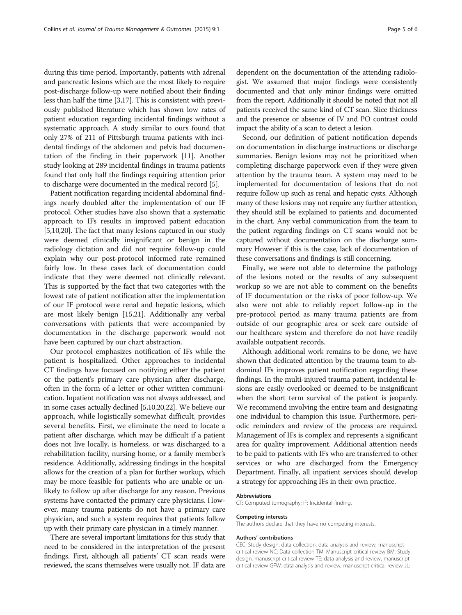during this time period. Importantly, patients with adrenal and pancreatic lesions which are the most likely to require post-discharge follow-up were notified about their finding less than half the time [\[3,17\]](#page-6-0). This is consistent with previously published literature which has shown low rates of patient education regarding incidental findings without a systematic approach. A study similar to ours found that only 27% of 211 of Pittsburgh trauma patients with incidental findings of the abdomen and pelvis had documentation of the finding in their paperwork [\[11\]](#page-6-0). Another study looking at 289 incidental findings in trauma patients found that only half the findings requiring attention prior to discharge were documented in the medical record [\[5\]](#page-6-0).

Patient notification regarding incidental abdominal findings nearly doubled after the implementation of our IF protocol. Other studies have also shown that a systematic approach to IFs results in improved patient education [[5,10,20\]](#page-6-0). The fact that many lesions captured in our study were deemed clinically insignificant or benign in the radiology dictation and did not require follow-up could explain why our post-protocol informed rate remained fairly low. In these cases lack of documentation could indicate that they were deemed not clinically relevant. This is supported by the fact that two categories with the lowest rate of patient notification after the implementation of our IF protocol were renal and hepatic lesions, which are most likely benign [\[15,21](#page-6-0)]. Additionally any verbal conversations with patients that were accompanied by documentation in the discharge paperwork would not have been captured by our chart abstraction.

Our protocol emphasizes notification of IFs while the patient is hospitalized. Other approaches to incidental CT findings have focused on notifying either the patient or the patient's primary care physician after discharge, often in the form of a letter or other written communication. Inpatient notification was not always addressed, and in some cases actually declined [\[5,10,20,22](#page-6-0)]. We believe our approach, while logistically somewhat difficult, provides several benefits. First, we eliminate the need to locate a patient after discharge, which may be difficult if a patient does not live locally, is homeless, or was discharged to a rehabilitation facility, nursing home, or a family member's residence. Additionally, addressing findings in the hospital allows for the creation of a plan for further workup, which may be more feasible for patients who are unable or unlikely to follow up after discharge for any reason. Previous systems have contacted the primary care physicians. However, many trauma patients do not have a primary care physician, and such a system requires that patients follow up with their primary care physician in a timely manner.

There are several important limitations for this study that need to be considered in the interpretation of the present findings. First, although all patients' CT scan reads were reviewed, the scans themselves were usually not. IF data are dependent on the documentation of the attending radiologist. We assumed that major findings were consistently documented and that only minor findings were omitted from the report. Additionally it should be noted that not all patients received the same kind of CT scan. Slice thickness and the presence or absence of IV and PO contrast could impact the ability of a scan to detect a lesion.

Second, our definition of patient notification depends on documentation in discharge instructions or discharge summaries. Benign lesions may not be prioritized when completing discharge paperwork even if they were given attention by the trauma team. A system may need to be implemented for documentation of lesions that do not require follow up such as renal and hepatic cysts. Although many of these lesions may not require any further attention, they should still be explained to patients and documented in the chart. Any verbal communication from the team to the patient regarding findings on CT scans would not be captured without documentation on the discharge summary However if this is the case, lack of documentation of these conversations and findings is still concerning.

Finally, we were not able to determine the pathology of the lesions noted or the results of any subsequent workup so we are not able to comment on the benefits of IF documentation or the risks of poor follow-up. We also were not able to reliably report follow-up in the pre-protocol period as many trauma patients are from outside of our geographic area or seek care outside of our healthcare system and therefore do not have readily available outpatient records.

Although additional work remains to be done, we have shown that dedicated attention by the trauma team to abdominal IFs improves patient notification regarding these findings. In the multi-injured trauma patient, incidental lesions are easily overlooked or deemed to be insignificant when the short term survival of the patient is jeopardy. We recommend involving the entire team and designating one individual to champion this issue. Furthermore, periodic reminders and review of the process are required. Management of IFs is complex and represents a significant area for quality improvement. Additional attention needs to be paid to patients with IFs who are transferred to other services or who are discharged from the Emergency Department. Finally, all inpatient services should develop a strategy for approaching IFs in their own practice.

#### Abbreviations

CT: Computed tomography; IF: Incidental finding.

#### Competing interests

The authors declare that they have no competing interests.

#### Authors' contributions

CEC: Study design, data collection, data analysis and review, manuscript critical review NC: Data collection TM: Manuscript critical review BM: Study design, manuscript critical review TE: data analysis and review, manuscript critical review GFW: data analysis and review, manuscript critical review JL: